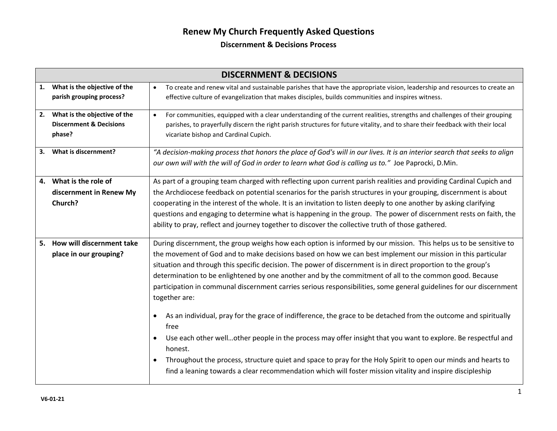|    | <b>DISCERNMENT &amp; DECISIONS</b>                                           |                                                                                                                                                                                                                                                                                                                                                                                                                                                                                                                                                                                                                                                                                                                                                                                                                                                                                                                                                                                                                                                                                          |  |  |  |  |  |
|----|------------------------------------------------------------------------------|------------------------------------------------------------------------------------------------------------------------------------------------------------------------------------------------------------------------------------------------------------------------------------------------------------------------------------------------------------------------------------------------------------------------------------------------------------------------------------------------------------------------------------------------------------------------------------------------------------------------------------------------------------------------------------------------------------------------------------------------------------------------------------------------------------------------------------------------------------------------------------------------------------------------------------------------------------------------------------------------------------------------------------------------------------------------------------------|--|--|--|--|--|
| 1. | What is the objective of the<br>parish grouping process?                     | To create and renew vital and sustainable parishes that have the appropriate vision, leadership and resources to create an<br>effective culture of evangelization that makes disciples, builds communities and inspires witness.                                                                                                                                                                                                                                                                                                                                                                                                                                                                                                                                                                                                                                                                                                                                                                                                                                                         |  |  |  |  |  |
| 2. | What is the objective of the<br><b>Discernment &amp; Decisions</b><br>phase? | For communities, equipped with a clear understanding of the current realities, strengths and challenges of their grouping<br>$\bullet$<br>parishes, to prayerfully discern the right parish structures for future vitality, and to share their feedback with their local<br>vicariate bishop and Cardinal Cupich.                                                                                                                                                                                                                                                                                                                                                                                                                                                                                                                                                                                                                                                                                                                                                                        |  |  |  |  |  |
| 3. | What is discernment?                                                         | "A decision-making process that honors the place of God's will in our lives. It is an interior search that seeks to align<br>our own will with the will of God in order to learn what God is calling us to." Joe Paprocki, D.Min.                                                                                                                                                                                                                                                                                                                                                                                                                                                                                                                                                                                                                                                                                                                                                                                                                                                        |  |  |  |  |  |
|    | 4. What is the role of<br>discernment in Renew My<br>Church?                 | As part of a grouping team charged with reflecting upon current parish realities and providing Cardinal Cupich and<br>the Archdiocese feedback on potential scenarios for the parish structures in your grouping, discernment is about<br>cooperating in the interest of the whole. It is an invitation to listen deeply to one another by asking clarifying<br>questions and engaging to determine what is happening in the group. The power of discernment rests on faith, the<br>ability to pray, reflect and journey together to discover the collective truth of those gathered.                                                                                                                                                                                                                                                                                                                                                                                                                                                                                                    |  |  |  |  |  |
|    | 5. How will discernment take<br>place in our grouping?                       | During discernment, the group weighs how each option is informed by our mission. This helps us to be sensitive to<br>the movement of God and to make decisions based on how we can best implement our mission in this particular<br>situation and through this specific decision. The power of discernment is in direct proportion to the group's<br>determination to be enlightened by one another and by the commitment of all to the common good. Because<br>participation in communal discernment carries serious responsibilities, some general guidelines for our discernment<br>together are:<br>As an individual, pray for the grace of indifference, the grace to be detached from the outcome and spiritually<br>free<br>Use each other wellother people in the process may offer insight that you want to explore. Be respectful and<br>honest.<br>Throughout the process, structure quiet and space to pray for the Holy Spirit to open our minds and hearts to<br>find a leaning towards a clear recommendation which will foster mission vitality and inspire discipleship |  |  |  |  |  |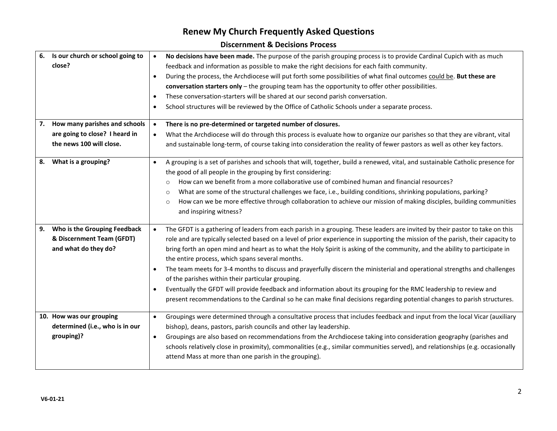|    | 6. Is our church or school going to | No decisions have been made. The purpose of the parish grouping process is to provide Cardinal Cupich with as much<br>$\bullet$                                                                             |
|----|-------------------------------------|-------------------------------------------------------------------------------------------------------------------------------------------------------------------------------------------------------------|
|    | close?                              | feedback and information as possible to make the right decisions for each faith community.                                                                                                                  |
|    |                                     | During the process, the Archdiocese will put forth some possibilities of what final outcomes could be. But these are<br>$\bullet$                                                                           |
|    |                                     | conversation starters only $-$ the grouping team has the opportunity to offer other possibilities.                                                                                                          |
|    |                                     | These conversation-starters will be shared at our second parish conversation.<br>$\bullet$                                                                                                                  |
|    |                                     | School structures will be reviewed by the Office of Catholic Schools under a separate process.<br>$\bullet$                                                                                                 |
| 7. | How many parishes and schools       | There is no pre-determined or targeted number of closures.<br>$\bullet$                                                                                                                                     |
|    | are going to close? I heard in      | What the Archdiocese will do through this process is evaluate how to organize our parishes so that they are vibrant, vital<br>$\bullet$                                                                     |
|    | the news 100 will close.            | and sustainable long-term, of course taking into consideration the reality of fewer pastors as well as other key factors.                                                                                   |
| 8. | What is a grouping?                 | A grouping is a set of parishes and schools that will, together, build a renewed, vital, and sustainable Catholic presence for<br>$\bullet$<br>the good of all people in the grouping by first considering: |
|    |                                     | How can we benefit from a more collaborative use of combined human and financial resources?<br>$\circ$                                                                                                      |
|    |                                     | What are some of the structural challenges we face, i.e., building conditions, shrinking populations, parking?<br>$\circ$                                                                                   |
|    |                                     | How can we be more effective through collaboration to achieve our mission of making disciples, building communities<br>$\circ$                                                                              |
|    |                                     | and inspiring witness?                                                                                                                                                                                      |
|    |                                     |                                                                                                                                                                                                             |
| 9. | Who is the Grouping Feedback        | The GFDT is a gathering of leaders from each parish in a grouping. These leaders are invited by their pastor to take on this<br>$\bullet$                                                                   |
|    | & Discernment Team (GFDT)           | role and are typically selected based on a level of prior experience in supporting the mission of the parish, their capacity to                                                                             |
|    | and what do they do?                | bring forth an open mind and heart as to what the Holy Spirit is asking of the community, and the ability to participate in<br>the entire process, which spans several months.                              |
|    |                                     | The team meets for 3-4 months to discuss and prayerfully discern the ministerial and operational strengths and challenges<br>$\bullet$                                                                      |
|    |                                     | of the parishes within their particular grouping.                                                                                                                                                           |
|    |                                     | Eventually the GFDT will provide feedback and information about its grouping for the RMC leadership to review and<br>$\bullet$                                                                              |
|    |                                     | present recommendations to the Cardinal so he can make final decisions regarding potential changes to parish structures.                                                                                    |
|    | 10. How was our grouping            | Groupings were determined through a consultative process that includes feedback and input from the local Vicar (auxiliary<br>$\bullet$                                                                      |
|    | determined (i.e., who is in our     | bishop), deans, pastors, parish councils and other lay leadership.                                                                                                                                          |
|    | grouping)?                          | Groupings are also based on recommendations from the Archdiocese taking into consideration geography (parishes and<br>$\bullet$                                                                             |
|    |                                     | schools relatively close in proximity), commonalities (e.g., similar communities served), and relationships (e.g. occasionally                                                                              |
|    |                                     | attend Mass at more than one parish in the grouping).                                                                                                                                                       |
|    |                                     |                                                                                                                                                                                                             |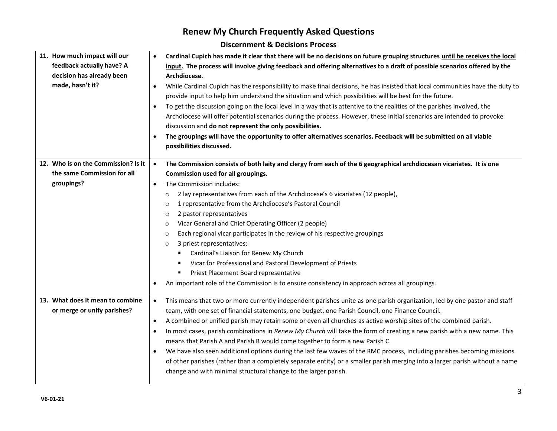| 11. How much impact will our        | $\bullet$ | Cardinal Cupich has made it clear that there will be no decisions on future grouping structures until he receives the local   |
|-------------------------------------|-----------|-------------------------------------------------------------------------------------------------------------------------------|
| feedback actually have? A           |           | input. The process will involve giving feedback and offering alternatives to a draft of possible scenarios offered by the     |
| decision has already been           |           | Archdiocese.                                                                                                                  |
| made, hasn't it?                    |           | While Cardinal Cupich has the responsibility to make final decisions, he has insisted that local communities have the duty to |
|                                     |           | provide input to help him understand the situation and which possibilities will be best for the future.                       |
|                                     | $\bullet$ | To get the discussion going on the local level in a way that is attentive to the realities of the parishes involved, the      |
|                                     |           | Archdiocese will offer potential scenarios during the process. However, these initial scenarios are intended to provoke       |
|                                     |           | discussion and do not represent the only possibilities.                                                                       |
|                                     | $\bullet$ | The groupings will have the opportunity to offer alternatives scenarios. Feedback will be submitted on all viable             |
|                                     |           | possibilities discussed.                                                                                                      |
|                                     |           |                                                                                                                               |
| 12. Who is on the Commission? Is it | $\bullet$ | The Commission consists of both laity and clergy from each of the 6 geographical archdiocesan vicariates. It is one           |
| the same Commission for all         |           | Commission used for all groupings.                                                                                            |
| groupings?                          | $\bullet$ | The Commission includes:                                                                                                      |
|                                     |           | 2 lay representatives from each of the Archdiocese's 6 vicariates (12 people),<br>$\circ$                                     |
|                                     |           | 1 representative from the Archdiocese's Pastoral Council<br>$\circ$                                                           |
|                                     |           | 2 pastor representatives<br>$\circ$                                                                                           |
|                                     |           | Vicar General and Chief Operating Officer (2 people)<br>$\circ$                                                               |
|                                     |           | Each regional vicar participates in the review of his respective groupings<br>$\circ$                                         |
|                                     |           | 3 priest representatives:<br>$\circ$                                                                                          |
|                                     |           | Cardinal's Liaison for Renew My Church                                                                                        |
|                                     |           | Vicar for Professional and Pastoral Development of Priests                                                                    |
|                                     |           | Priest Placement Board representative                                                                                         |
|                                     | $\bullet$ | An important role of the Commission is to ensure consistency in approach across all groupings.                                |
| 13. What does it mean to combine    | $\bullet$ | This means that two or more currently independent parishes unite as one parish organization, led by one pastor and staff      |
| or merge or unify parishes?         |           | team, with one set of financial statements, one budget, one Parish Council, one Finance Council.                              |
|                                     | $\bullet$ | A combined or unified parish may retain some or even all churches as active worship sites of the combined parish.             |
|                                     | $\bullet$ | In most cases, parish combinations in Renew My Church will take the form of creating a new parish with a new name. This       |
|                                     |           | means that Parish A and Parish B would come together to form a new Parish C.                                                  |
|                                     | $\bullet$ | We have also seen additional options during the last few waves of the RMC process, including parishes becoming missions       |
|                                     |           | of other parishes (rather than a completely separate entity) or a smaller parish merging into a larger parish without a name  |
|                                     |           | change and with minimal structural change to the larger parish.                                                               |
|                                     |           |                                                                                                                               |